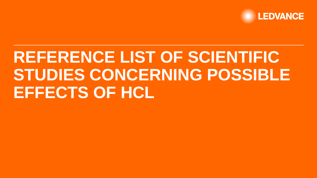

# **REFERENCE LIST OF SCIENTIFIC STUDIES CONCERNING POSSIBLE EFFECTS OF HCL**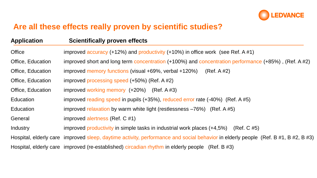

## **Are all these effects really proven by scientific studies?**

| <b>Application</b> | <b>Scientifically proven effects</b>                                                                                               |
|--------------------|------------------------------------------------------------------------------------------------------------------------------------|
| <b>Office</b>      | improved $\frac{accuracy}{(+12\%)}$ and productivity (+10%) in office work (see Ref. A #1)                                         |
| Office, Education  | improved short and long term concentration (+100%) and concentration performance (+85%), (Ref. A #2)                               |
| Office, Education  | improved memory functions (visual +69%, verbal +120%)<br>(Ref. A #2)                                                               |
| Office, Education  | improved processing speed (+50%) (Ref. A #2)                                                                                       |
| Office, Education  | improved working memory $(+20%)$ (Ref. A #3)                                                                                       |
| Education          | improved reading speed in pupils (+35%), reduced error rate (-40%) (Ref. A #5)                                                     |
| Education          | improved relaxation by warm white light (restlessness $-76\%$ ) (Ref. A #5)                                                        |
| General            | improved alertness (Ref. C #1)                                                                                                     |
| Industry           | improved productivity in simple tasks in industrial work places $(+4,5%)$ (Ref. C #5)                                              |
|                    | Hospital, elderly care improved sleep, daytime activity, performance and social behavior in elderly people (Ref. B #1, B #2, B #3) |
|                    | Hospital, elderly care improved (re-established) circadian rhythm in elderly people (Ref. B #3)                                    |